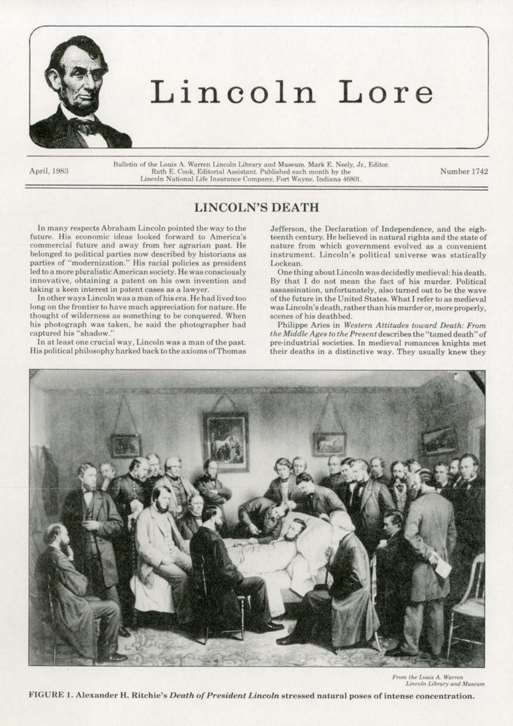

# Lincoln Lore

April, 1983

Bulletin of the Louis A. Warren Lincoln Library and Museum. Mark E. Neely, Jr., Editor. Ruth E. Cook, Editorial Assistant. Published each month by the Number 1742 Lincoln National Life Insurance Company. Fort Wayne. Indiana 46801.

## LINCOLN'S DEATH

In many respects Abraham Lincoln pointed the way to the future. His economic ideas looked forward to America's commercial future and away from her agrarian past. He belonged to political parties now described by historians as parties of "modernization." His racial policies as president led to a more pluralistic American society. He was consciously innovative, obtaining a patent on his own invention and taking a keen interest in patent cases as a lawyer.

In other ways Lincoln was a man of his era. He had lived too long on the frontier to have much appreciation for nature. He thought of wilderness as something to be conquered. When his photograph was taken, he said the photographer had captured his "shadow."

In at least one crucial way, Lincoln was a man of the past. His political philosophy harked back to the axioms of Thomas Jefferson, the Declaration of Independence, and the eighteenth century. He believed in natural rights and the state of nature from which government evolved as a convenient. instrument. Lincoln's political universe was statically Lockean.

One thing about Lincoln was decidedly medieval: his death. By that l do not mean the fact of his murder. Political assassination, unfortunately, also turned out to be the wave of the future in the United States. What l refer to as medieval was Lincoln 'sdeath, rather than his murderor, more properly, scenes of his deathbed.

Philippe Aries in *Western Attitudes toward Death: From the Middle Ages to the Present* describes the "tamed death" of pre-industrial societies. In medieval romances knights met their deaths in a distinctive way. They usually knew they



From the Louis A. Warren Lincoln Library and Museum

FIGURE 1. Alexander H. Ritchie's *Death of President Lincoln* stressed natural poses of intense concentration.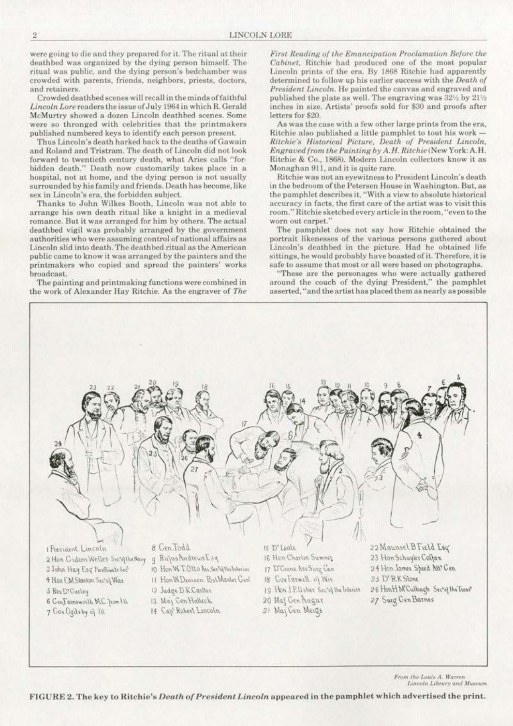were going to die and they prepared for it. The ritual at their deathbed was organized by the dying person himself. The ritual was public, and the dying person's bedchamber was crowded with parents, friends, neighbors, priests, doclors, and retainers.

Crowded death bed scenes will recall in the minds of faithful Lincoln Lore readers the issue of July 1964 in which R. Gerald McMurtry showed a dozen Lincoln deathbed scenes. Some were so thronged with celebrities that the printmakers published numbered keys to identify each person present.

Thus Lincoln's death harked back to the deaths of Gawain and Roland and Tristram. The death of Lincoln did not look forward to twentieth century death, what Aries calls "forbidden death." Death now customarily takes place in a hospital, not at home, and the dying person is not usually surrounded by his family and friends. Death has become, like sex in Lincoln's era, the forbidden subject.

Thanks to John Wilkes Booth, Lincoln was not able to arrange his own death ritual like a knight in a medieval romance. But it was arranged for him by others. The actual deathbed vigil was probably arranged by the government authorities who were assuming control of national affairs as Lincoln slid into death. The deathbed ritual as the American public came to know it was arranged by the painters and the printmakcrs who copied and spread the painters' works broadcast..

The painting and printmaking functions were combined in the work of Alexander Hay Ritchie. As the engraver of *The*  *First Reading of the Emancrpation Proclamation. Before the Cabinet,* Ritchie had produced one of the most popular Lincoln prints of the era. By 1868 Ritchie had apparently determined to follow up his earlier success with the *Death of President Linco/11.* Be painted the canvas and engraved and published the plate as well. The engraving was  $32\%$  by  $21\%$ inches in size. Artists' proofs sold for \$30 and proofs after letters for \$20.

As was the case with a few other large prints from the era, Ritchie also published a little pamphlet to tout his work -*Ritchie's Historical Picture, Death of President Lincoln, Engraved from the Painting by* A. *H. Ritchie(New* York: A.H. Ritchie & Co., 1868). Modern Lincoln collectors know it as Monaghan 911, and it is quite rare.

Ritchie was not an eyewitness to President Lincoln's death in the bedroom of the Petersen House in Washington. But, as the pamphlet describes it, "With a view to absolute historical accuracy in facts, the first care of the artist was to visit this room." Ritchie sketched every article in the room, "even to the worn out carpet.'

The pamphlet does not say how Ritchie obtained the portrait likenesses of the various persons gathered about. Lincoln's deathbed in the picture. Had he obtained life sittings, he would probably have boasted of it. Therefore. it is safe to assume that most or all were based on photographs.

''These are the personages who were actually gathered around the couch of the dying President," the pamphlet asserted, "and the artist has placed them as nearly as possible



*From the Louis A. Warren*<br>*Lincoln Library and Museum* 

FIGURE 2. The key to Ritchie's *Death of President Lincoln* appeared in the pamphlet w hich advertised the print.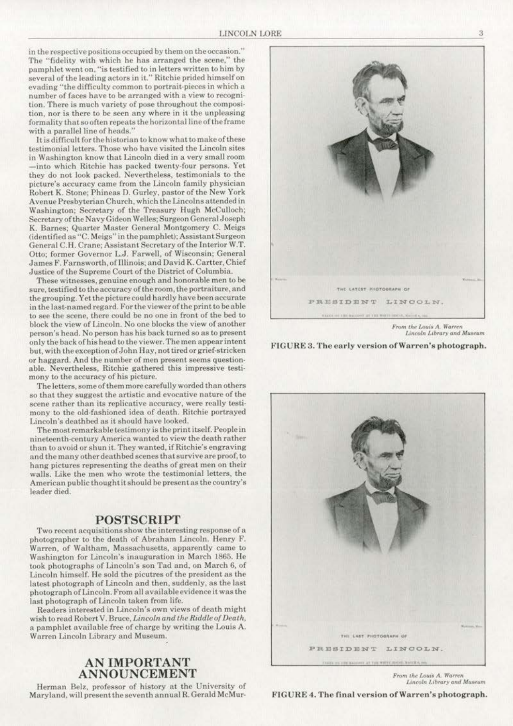in the respective positions occupied by them on the occasion." The "fidelity with which he has arranged the scene," the pamphlet went on, "is testified to in letters written to him by several of the leading actors in it." Ritchie prided himself on evading "the difficulty common to portrait-pieces in which a number of faces have to be arranged with a view to recognition. There is much variety of pose throughout the composi· tion. nor is there to be seen any where in it the unpleasing formality that so often repeats the horizontal line of the frame with a parallel line of heads."

It is difficult for the historian to know what to make of these testimonial letters. Those who have visited the Lincoln sites in Washington know that Lincoln died in a very small room -into which Ritchie has packed twenty-four persons. Vet they do not look packed. Nevertheless. testimonials to the picture's accuracy came from the Lincoln family physician Robert K. Stone; Phineas D. Gurley, pastor of the New York Avenue Presbyterian Church, which the Lincolns attended in Washington; Secretary of the Treasury Hugh McCulloch; Secretary of the Navy Gideon Welles; Surgeon General Joseph K. Barnes: Quarter Master General Montgomery C. Meigs (identified as "C. Meigs" in the pamphlet); Assistant Surgeon General C. H. Crane; Assistant Secretary of the Interior W.T. Otto; former Governor L.J. Farwell, of Wisconsin: General James F. Farnsworth, of Illinois; and David K. Cartter, Chief Justice of the Supreme Court of the District of Columbia.

These witnesses, genuine enough and honorable men to be sure, testified to the accuracy of the room, the portraiture, and the grouping. Y ct the picture could hardly have been accurate in the last-named regard. For the viewer of the print to be able to see the scene, there could be no one in front of the bed to block the view of Lincoln. No one blocks the view of another person's head. No person has his back turned so as to present only the back of his head to the viewer. The men appear intent but, with the exception of John Hay, not tired or grief·stricken or haggard. And the number of men present seems questionable. Nevertheless, Ritchie gathered this impressive testimony to the accuracy of his picture.

The letters, some of them more carefully worded than others so that they suggest the artistic and evocative nature of the scene rather than its replicative accuracy, were really testimony to the old-fashioned idea of death. Ritchie portrayed Lincoln's deathbed as it should have looked.

The most remarkable testimony is the print itself. People in ninetecnth·ccntury America wunted to view the death rather than to avoid or shun it. They wanted, if Ritchie's engraving and the many other deathbed scenes that survive are proof, to hang pictures representing the deaths of great men on their walls. Like the men who wrote the testimonial letters, the American public thought it should be present as the country's leader died.

### POSTSCRIPT

Two recent acquisitions show the interesting response of a photographer to the death of Abraham Lincoln. Henry F. Warren, of Waltham, Massachusetts, apparently came to Washington for Lincoln's inauguration in March 1865. He took photographs of Lincoln's son Tad and, on March 6, of Lincoln himself. He sold the picutres of the president as the latest photograph of Lincoln and then, suddenly, as the last photograph of Lincoln. From all available evidence it was the last photograph of Lincoln taken from life.

Readers interested in Lincoln's own views of death might wish to read Robert V. Bruce, *Lincoln and rile Riddle of Death,*  a pamphlet available free of charge by writing the Louis A. Warren Lincoln Library and Museum.

## AN IMPORTANT ANNOUNCEMENT

Herman Belz, professor of history at the University of Maryland. will present the seventh annual R. Gerald McMur-



From the Louis A. Warren  $Lin$ coln  $Library$  and Museum

#### FIGURE 3. The early version of Warren's photograph.



From the Louis A. Warren Lincoln Library and Museum

FIGURE 4. The final version of Warren's photograph.